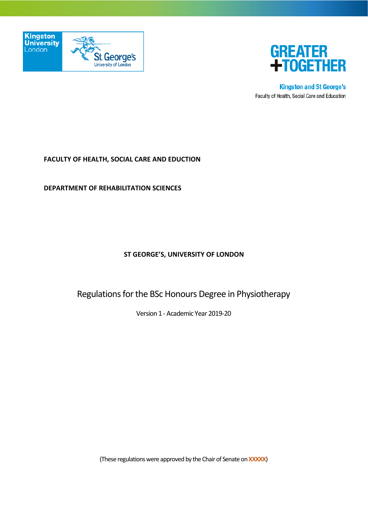



**Kingston and St George's** Faculty of Health, Social Care and Education

### **FACULTY OF HEALTH, SOCIAL CARE AND EDUCTION**

**DEPARTMENT OF REHABILITATION SCIENCES**

### **ST GEORGE'S, UNIVERSITY OF LONDON**

Regulations for the BSc Honours Degree in Physiotherapy

Version 1 - Academic Year 2019-20

(These regulations were approved by the Chair of Senate on **XXXXX**)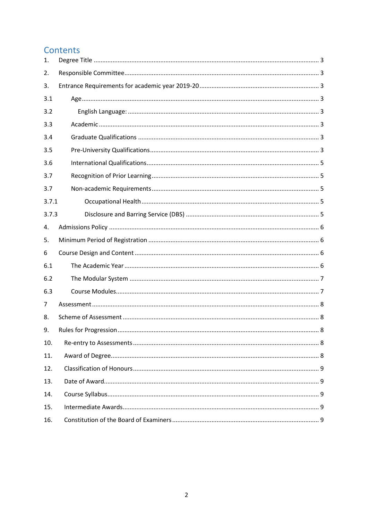# Contents

| 1.    |  |
|-------|--|
| 2.    |  |
| 3.    |  |
| 3.1   |  |
| 3.2   |  |
| 3.3   |  |
| 3.4   |  |
| 3.5   |  |
| 3.6   |  |
| 3.7   |  |
| 3.7   |  |
| 3.7.1 |  |
| 3.7.3 |  |
| 4.    |  |
| 5.    |  |
| 6     |  |
| 6.1   |  |
| 6.2   |  |
| 6.3   |  |
| 7     |  |
| 8.    |  |
| 9.    |  |
| 10.   |  |
| 11.   |  |
| 12.   |  |
| 13.   |  |
| 14.   |  |
| 15.   |  |
| 16.   |  |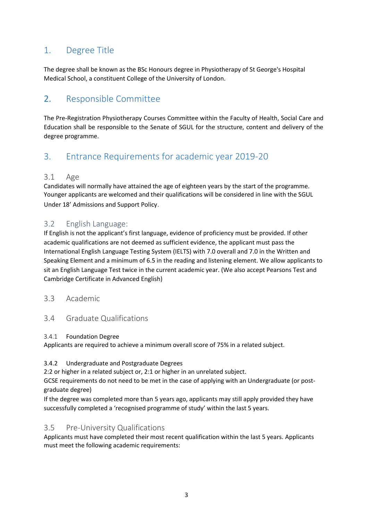# <span id="page-2-0"></span>1. Degree Title

The degree shall be known as the BSc Honours degree in Physiotherapy of St George's Hospital Medical School, a constituent College of the University of London.

# <span id="page-2-1"></span>2. Responsible Committee

The Pre-Registration Physiotherapy Courses Committee within the Faculty of Health, Social Care and Education shall be responsible to the Senate of SGUL for the structure, content and delivery of the degree programme.

# <span id="page-2-2"></span>3. Entrance Requirements for academic year 2019-20

### <span id="page-2-3"></span>3.1 Age

Candidates will normally have attained the age of eighteen years by the start of the programme. Younger applicants are welcomed and their qualifications will be considered in line with the SGUL Under 18' Admissions and Support Policy.

### <span id="page-2-4"></span>3.2 English Language:

If English is not the applicant's first language, evidence of proficiency must be provided. If other academic qualifications are not deemed as sufficient evidence, the applicant must pass the International English Language Testing System (IELTS) with 7.0 overall and 7.0 in the Written and Speaking Element and a minimum of 6.5 in the reading and listening element. We allow applicants to sit an English Language Test twice in the current academic year. (We also accept Pearsons Test and Cambridge Certificate in Advanced English)

### <span id="page-2-5"></span>3.3 Academic

### <span id="page-2-6"></span>3.4 Graduate Qualifications

### 3.4.1 Foundation Degree

Applicants are required to achieve a minimum overall score of 75% in a related subject.

### 3.4.2 Undergraduate and Postgraduate Degrees

2:2 or higher in a related subject or, 2:1 or higher in an unrelated subject.

GCSE requirements do not need to be met in the case of applying with an Undergraduate (or postgraduate degree)

If the degree was completed more than 5 years ago, applicants may still apply provided they have successfully completed a 'recognised programme of study' within the last 5 years.

## <span id="page-2-7"></span>3.5 Pre-University Qualifications

Applicants must have completed their most recent qualification within the last 5 years. Applicants must meet the following academic requirements: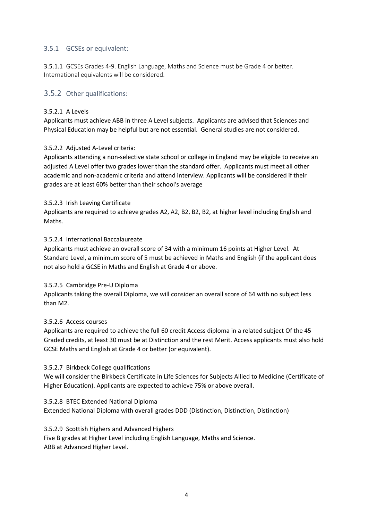### 3.5.1 GCSEs or equivalent:

3.5.1.1 GCSEs Grades 4-9. English Language, Maths and Science must be Grade 4 or better. International equivalents will be considered.

### 3.5.2 Other qualifications:

#### 3.5.2.1 A Levels

Applicants must achieve ABB in three A Level subjects. Applicants are advised that Sciences and Physical Education may be helpful but are not essential. General studies are not considered.

#### 3.5.2.2 Adjusted A-Level criteria:

Applicants attending a non-selective state school or college in England may be eligible to receive an adjusted A Level offer two grades lower than the standard offer. Applicants must meet all other academic and non-academic criteria and attend interview. Applicants will be considered if their grades are at least 60% better than their school's average

#### 3.5.2.3 Irish Leaving Certificate

Applicants are required to achieve grades A2, A2, B2, B2, B2, at higher level including English and Maths.

#### 3.5.2.4 International Baccalaureate

Applicants must achieve an overall score of 34 with a minimum 16 points at Higher Level. At Standard Level, a minimum score of 5 must be achieved in Maths and English (if the applicant does not also hold a GCSE in Maths and English at Grade 4 or above.

#### 3.5.2.5 Cambridge Pre-U Diploma

Applicants taking the overall Diploma, we will consider an overall score of 64 with no subject less than M2.

#### 3.5.2.6 Access courses

Applicants are required to achieve the full 60 credit Access diploma in a related subject Of the 45 Graded credits, at least 30 must be at Distinction and the rest Merit. Access applicants must also hold GCSE Maths and English at Grade 4 or better (or equivalent).

#### 3.5.2.7 Birkbeck College qualifications

We will consider the Birkbeck Certificate in Life Sciences for Subjects Allied to Medicine (Certificate of Higher Education). Applicants are expected to achieve 75% or above overall.

#### 3.5.2.8 BTEC Extended National Diploma

Extended National Diploma with overall grades DDD (Distinction, Distinction, Distinction)

#### 3.5.2.9 Scottish Highers and Advanced Highers

Five B grades at Higher Level including English Language, Maths and Science. ABB at Advanced Higher Level.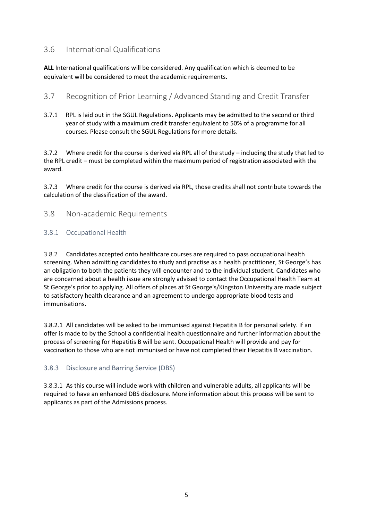## <span id="page-4-2"></span><span id="page-4-0"></span>3.6 International Qualifications

**ALL** International qualifications will be considered. Any qualification which is deemed to be equivalent will be considered to meet the academic requirements.

## <span id="page-4-1"></span>3.7 Recognition of Prior Learning / Advanced Standing and Credit Transfer

3.7.1 RPL is laid out in the SGUL Regulations. Applicants may be admitted to the second or third year of study with a maximum credit transfer equivalent to 50% of a programme for all courses. Please consult the SGUL Regulations for more details.

3.7.2 Where credit for the course is derived via RPL all of the study – including the study that led to the RPL credit – must be completed within the maximum period of registration associated with the award.

3.7.3 Where credit for the course is derived via RPL, those credits shall not contribute towards the calculation of the classification of the award.

### 3.8 Non-academic Requirements

### <span id="page-4-3"></span>3.8.1 Occupational Health

3.8.2 Candidates accepted onto healthcare courses are required to pass occupational health screening. When admitting candidates to study and practise as a health practitioner, St George's has an obligation to both the patients they will encounter and to the individual student. Candidates who are concerned about a health issue are strongly advised to contact the Occupational Health Team at St George's prior to applying. All offers of places at St George's/Kingston University are made subject to satisfactory health clearance and an agreement to undergo appropriate blood tests and immunisations.

3.8.2.1 All candidates will be asked to be immunised against Hepatitis B for personal safety. If an offer is made to by the School a confidential health questionnaire and further information about the process of screening for Hepatitis B will be sent. Occupational Health will provide and pay for vaccination to those who are not immunised or have not completed their Hepatitis B vaccination.

### <span id="page-4-4"></span>3.8.3 Disclosure and Barring Service (DBS)

3.8.3.1 As this course will include work with children and vulnerable adults, all applicants will be required to have an enhanced DBS disclosure. More information about this process will be sent to applicants as part of the Admissions process.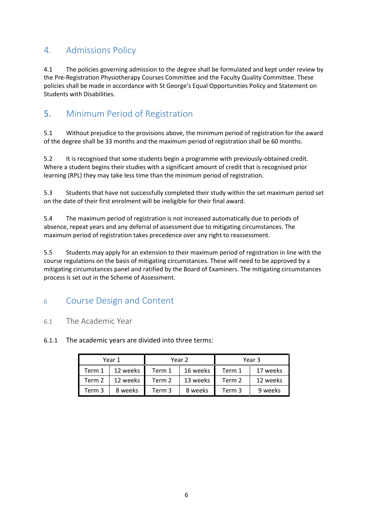# <span id="page-5-0"></span>4. Admissions Policy

4.1 The policies governing admission to the degree shall be formulated and kept under review by the Pre-Registration Physiotherapy Courses Committee and the Faculty Quality Committee. These policies shall be made in accordance with St George's Equal Opportunities Policy and Statement on Students with Disabilities.

# <span id="page-5-1"></span>5. Minimum Period of Registration

5.1 Without prejudice to the provisions above, the minimum period of registration for the award of the degree shall be 33 months and the maximum period of registration shall be 60 months.

5.2 It is recognised that some students begin a programme with previously-obtained credit. Where a student begins their studies with a significant amount of credit that is recognised prior learning (RPL) they may take less time than the minimum period of registration.

5.3 Students that have not successfully completed their study within the set maximum period set on the date of their first enrolment will be ineligible for their final award.

5.4 The maximum period of registration is not increased automatically due to periods of absence, repeat years and any deferral of assessment due to mitigating circumstances. The maximum period of registration takes precedence over any right to reassessment.

5.5 Students may apply for an extension to their maximum period of registration in line with the course regulations on the basis of mitigating circumstances. These will need to be approved by a mitigating circumstances panel and ratified by the Board of Examiners. The mitigating circumstances process is set out in the Scheme of Assessment.

# <span id="page-5-2"></span><sup>6</sup> Course Design and Content

### <span id="page-5-3"></span>6.1 The Academic Year

### 6.1.1 The academic years are divided into three terms:

| Year 1 |          | Year 2 |          | Year 3 |          |
|--------|----------|--------|----------|--------|----------|
| Term 1 | 12 weeks | Term 1 | 16 weeks | Term 1 | 17 weeks |
| Term 2 | 12 weeks | Term 2 | 13 weeks | Term 2 | 12 weeks |
| Term 3 | 8 weeks  | Term 3 | 8 weeks  | Term 3 | 9 weeks  |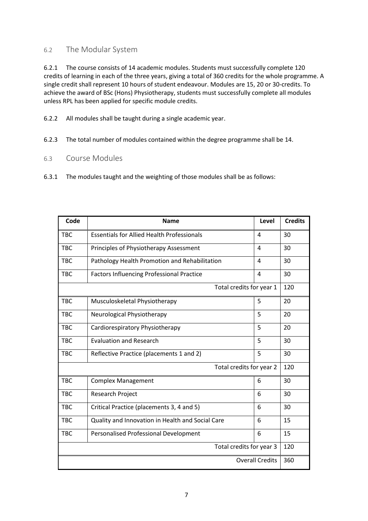### <span id="page-6-0"></span>6.2 The Modular System

6.2.1 The course consists of 14 academic modules. Students must successfully complete 120 credits of learning in each of the three years, giving a total of 360 credits for the whole programme. A single credit shall represent 10 hours of student endeavour. Modules are 15, 20 or 30-credits. To achieve the award of BSc (Hons) Physiotherapy, students must successfully complete all modules unless RPL has been applied for specific module credits.

6.2.2 All modules shall be taught during a single academic year.

6.2.3 The total number of modules contained within the degree programme shall be 14.

### <span id="page-6-1"></span>6.3 Course Modules

6.3.1 The modules taught and the weighting of those modules shall be as follows:

| Code                     | <b>Name</b>                                       | Level          | <b>Credits</b> |  |  |
|--------------------------|---------------------------------------------------|----------------|----------------|--|--|
| <b>TBC</b>               | <b>Essentials for Allied Health Professionals</b> | 4              | 30             |  |  |
| <b>TBC</b>               | Principles of Physiotherapy Assessment            | 4              | 30             |  |  |
| <b>TBC</b>               | Pathology Health Promotion and Rehabilitation     | 4              | 30             |  |  |
| <b>TBC</b>               | <b>Factors Influencing Professional Practice</b>  | $\overline{4}$ | 30             |  |  |
| Total credits for year 1 |                                                   |                |                |  |  |
| <b>TBC</b>               | Musculoskeletal Physiotherapy                     | 5              | 20             |  |  |
| <b>TBC</b>               | Neurological Physiotherapy                        | 5              | 20             |  |  |
| <b>TBC</b>               | Cardiorespiratory Physiotherapy                   | 5              | 20             |  |  |
| <b>TBC</b>               | <b>Evaluation and Research</b>                    | 5              | 30             |  |  |
| <b>TBC</b>               | Reflective Practice (placements 1 and 2)          | 5              | 30             |  |  |
| Total credits for year 2 |                                                   |                |                |  |  |
| <b>TBC</b>               | <b>Complex Management</b>                         | 6              | 30             |  |  |
| <b>TBC</b>               | Research Project                                  | 6              | 30             |  |  |
| <b>TBC</b>               | Critical Practice (placements 3, 4 and 5)         | 6              | 30             |  |  |
| <b>TBC</b>               | Quality and Innovation in Health and Social Care  | 6              | 15             |  |  |
| <b>TBC</b>               | Personalised Professional Development             | 6              | 15             |  |  |
| Total credits for year 3 |                                                   |                |                |  |  |
| <b>Overall Credits</b>   |                                                   |                |                |  |  |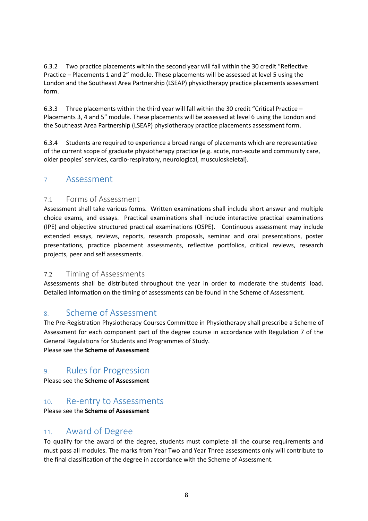6.3.2 Two practice placements within the second year will fall within the 30 credit "Reflective Practice – Placements 1 and 2" module. These placements will be assessed at level 5 using the London and the Southeast Area Partnership (LSEAP) physiotherapy practice placements assessment form.

6.3.3 Three placements within the third year will fall within the 30 credit "Critical Practice – Placements 3, 4 and 5" module. These placements will be assessed at level 6 using the London and the Southeast Area Partnership (LSEAP) physiotherapy practice placements assessment form.

6.3.4 Students are required to experience a broad range of placements which are representative of the current scope of graduate physiotherapy practice (e.g. acute, non-acute and community care, older peoples' services, cardio-respiratory, neurological, musculoskeletal).

## <span id="page-7-0"></span><sup>7</sup> Assessment

### 7.1 Forms of Assessment

Assessment shall take various forms. Written examinations shall include short answer and multiple choice exams, and essays. Practical examinations shall include interactive practical examinations (IPE) and objective structured practical examinations (OSPE). Continuous assessment may include extended essays, reviews, reports, research proposals, seminar and oral presentations, poster presentations, practice placement assessments, reflective portfolios, critical reviews, research projects, peer and self assessments.

### 7.2 Timing of Assessments

Assessments shall be distributed throughout the year in order to moderate the students' load. Detailed information on the timing of assessments can be found in the Scheme of Assessment.

## <span id="page-7-1"></span>8. Scheme of Assessment

The Pre-Registration Physiotherapy Courses Committee in Physiotherapy shall prescribe a Scheme of Assessment for each component part of the degree course in accordance with Regulation 7 of the General Regulations for Students and Programmes of Study.

Please see the **Scheme of Assessment**

## <span id="page-7-2"></span>9. Rules for Progression

Please see the **Scheme of Assessment**

# <span id="page-7-3"></span>10. Re-entry to Assessments

Please see the **Scheme of Assessment**

# <span id="page-7-4"></span>11. Award of Degree

To qualify for the award of the degree, students must complete all the course requirements and must pass all modules. The marks from Year Two and Year Three assessments only will contribute to the final classification of the degree in accordance with the Scheme of Assessment.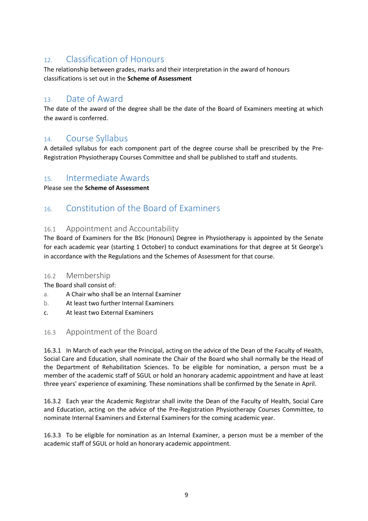# <span id="page-8-0"></span>12. Classification of Honours

The relationship between grades, marks and their interpretation in the award of honours classifications is set out in the **Scheme of Assessment**

## <span id="page-8-1"></span>13. Date of Award

The date of the award of the degree shall be the date of the Board of Examiners meeting at which the award is conferred.

## <span id="page-8-2"></span>14. Course Syllabus

A detailed syllabus for each component part of the degree course shall be prescribed by the Pre-Registration Physiotherapy Courses Committee and shall be published to staff and students.

## <span id="page-8-3"></span>15. Intermediate Awards

Please see the **Scheme of Assessment**

# <span id="page-8-4"></span>16. Constitution of the Board of Examiners

### 16.1 Appointment and Accountability

The Board of Examiners for the BSc (Honours) Degree in Physiotherapy is appointed by the Senate for each academic year (starting 1 October) to conduct examinations for that degree at St George's in accordance with the Regulations and the Schemes of Assessment for that course.

### 16.2 Membership

The Board shall consist of:

- a. A Chair who shall be an Internal Examiner
- b. At least two further Internal Examiners
- c. At least two External Examiners

## 16.3 Appointment of the Board

16.3.1 In March of each year the Principal, acting on the advice of the Dean of the Faculty of Health, Social Care and Education, shall nominate the Chair of the Board who shall normally be the Head of the Department of Rehabilitation Sciences. To be eligible for nomination, a person must be a member of the academic staff of SGUL or hold an honorary academic appointment and have at least three years' experience of examining. These nominations shall be confirmed by the Senate in April.

16.3.2 Each year the Academic Registrar shall invite the Dean of the Faculty of Health, Social Care and Education, acting on the advice of the Pre-Registration Physiotherapy Courses Committee, to nominate Internal Examiners and External Examiners for the coming academic year.

16.3.3 To be eligible for nomination as an Internal Examiner, a person must be a member of the academic staff of SGUL or hold an honorary academic appointment.